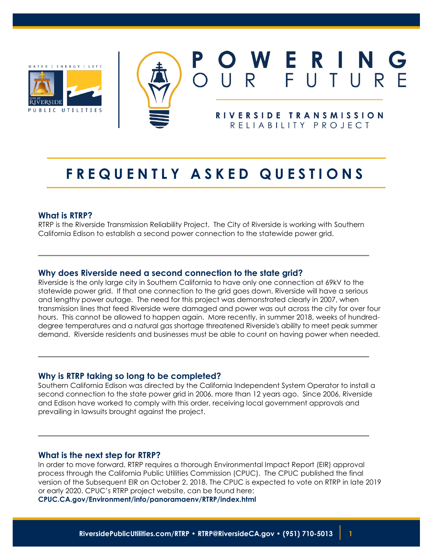



## E R F.  $\mathbf{U}$  T

## RIVERSIDE TRANSMISSION RELIABILITY PROJECT

# **F R E Q U E N T L Y A S K E D Q U E S T I O N S**

## **What is RTRP?**

RTRP is the Riverside Transmission Reliability Project. The City of Riverside is working with Southern California Edison to establish a second power connection to the statewide power grid.

## **Why does Riverside need a second connection to the state grid?**

Riverside is the only large city in Southern California to have only one connection at 69kV to the statewide power grid. If that one connection to the grid goes down, Riverside will have a serious and lengthy power outage. The need for this project was demonstrated clearly in 2007, when transmission lines that feed Riverside were damaged and power was out across the city for over four hours. This cannot be allowed to happen again. More recently, in summer 2018, weeks of hundreddegree temperatures and a natural gas shortage threatened Riverside's ability to meet peak summer demand. Riverside residents and businesses must be able to count on having power when needed.

## **Why is RTRP taking so long to be completed?**

Southern California Edison was directed by the California Independent System Operator to install a second connection to the state power grid in 2006, more than 12 years ago. Since 2006, Riverside and Edison have worked to comply with this order, receiving local government approvals and prevailing in lawsuits brought against the project.

## **What is the next step for RTRP?**

In order to move forward, RTRP requires a thorough Environmental Impact Report (EIR) approval process through the California Public Utilities Commission (CPUC). The CPUC published the final version of the Subsequent EIR on October 2, 2018. The CPUC is expected to vote on RTRP in late 2019 or early 2020. CPUC's RTRP project website, can be found here:

**CPUC.CA.gov/Environment/info/panoramaenv/RTRP/index.html**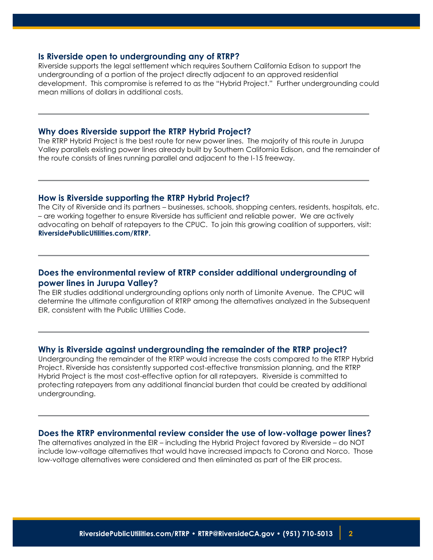#### **Is Riverside open to undergrounding any of RTRP?**

Riverside supports the legal settlement which requires Southern California Edison to support the undergrounding of a portion of the project directly adjacent to an approved residential development. This compromise is referred to as the "Hybrid Project." Further undergrounding could mean millions of dollars in additional costs.

### **Why does Riverside support the RTRP Hybrid Project?**

The RTRP Hybrid Project is the best route for new power lines. The majority of this route in Jurupa Valley parallels existing power lines already built by Southern California Edison, and the remainder of the route consists of lines running parallel and adjacent to the I-15 freeway.

#### **How is Riverside supporting the RTRP Hybrid Project?**

The City of Riverside and its partners – businesses, schools, shopping centers, residents, hospitals, etc. – are working together to ensure Riverside has sufficient and reliable power. We are actively advocating on behalf of ratepayers to the CPUC. To join this growing coalition of supporters, visit: **RiversidePublicUtilities.com/RTRP.** 

## **Does the environmental review of RTRP consider additional undergrounding of power lines in Jurupa Valley?**

The EIR studies additional undergrounding options only north of Limonite Avenue. The CPUC will determine the ultimate configuration of RTRP among the alternatives analyzed in the Subsequent EIR, consistent with the Public Utilities Code.

#### **Why is Riverside against undergrounding the remainder of the RTRP project?**

Undergrounding the remainder of the RTRP would increase the costs compared to the RTRP Hybrid Project. Riverside has consistently supported cost-effective transmission planning, and the RTRP Hybrid Project is the most cost-effective option for all ratepayers. Riverside is committed to protecting ratepayers from any additional financial burden that could be created by additional undergrounding.

#### **Does the RTRP environmental review consider the use of low-voltage power lines?**

The alternatives analyzed in the EIR – including the Hybrid Project favored by Riverside – do NOT include low-voltage alternatives that would have increased impacts to Corona and Norco. Those low-voltage alternatives were considered and then eliminated as part of the EIR process.